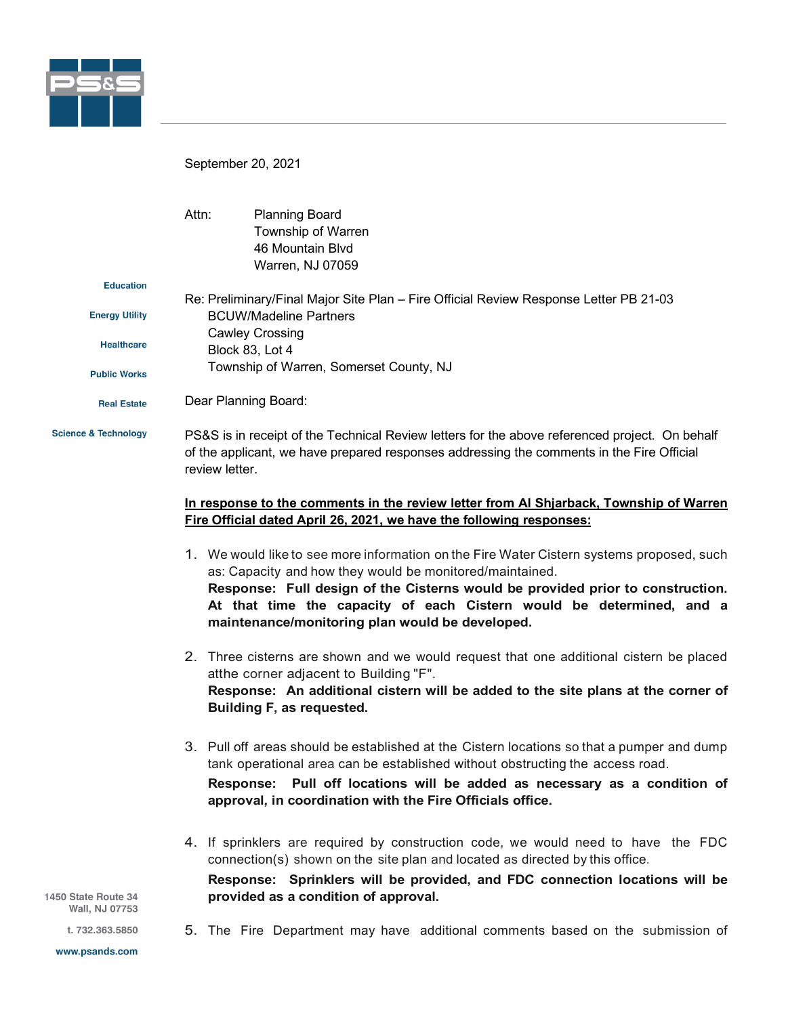

September 20, 2021

**Building F, as requested.**

|                                 | Attn:                                                                                                                                                                                                          | <b>Planning Board</b><br>Township of Warren<br>46 Mountain Blvd<br>Warren, NJ 07059                                                                                                                                                                                                                                                                                |
|---------------------------------|----------------------------------------------------------------------------------------------------------------------------------------------------------------------------------------------------------------|--------------------------------------------------------------------------------------------------------------------------------------------------------------------------------------------------------------------------------------------------------------------------------------------------------------------------------------------------------------------|
| <b>Education</b>                |                                                                                                                                                                                                                |                                                                                                                                                                                                                                                                                                                                                                    |
| <b>Energy Utility</b>           | Re: Preliminary/Final Major Site Plan - Fire Official Review Response Letter PB 21-03<br><b>BCUW/Madeline Partners</b><br><b>Cawley Crossing</b><br>Block 83, Lot 4<br>Township of Warren, Somerset County, NJ |                                                                                                                                                                                                                                                                                                                                                                    |
| <b>Healthcare</b>               |                                                                                                                                                                                                                |                                                                                                                                                                                                                                                                                                                                                                    |
| <b>Public Works</b>             |                                                                                                                                                                                                                |                                                                                                                                                                                                                                                                                                                                                                    |
| <b>Real Estate</b>              | Dear Planning Board:                                                                                                                                                                                           |                                                                                                                                                                                                                                                                                                                                                                    |
| <b>Science &amp; Technology</b> | PS&S is in receipt of the Technical Review letters for the above referenced project. On behalf<br>of the applicant, we have prepared responses addressing the comments in the Fire Official<br>review letter.  |                                                                                                                                                                                                                                                                                                                                                                    |
|                                 | In response to the comments in the review letter from AI Shjarback, Township of Warren<br>Fire Official dated April 26, 2021, we have the following responses:                                                 |                                                                                                                                                                                                                                                                                                                                                                    |
|                                 |                                                                                                                                                                                                                | 1. We would like to see more information on the Fire Water Cistern systems proposed, such<br>as: Capacity and how they would be monitored/maintained.<br>Response: Full design of the Cisterns would be provided prior to construction.<br>At that time the capacity of each Cistern would be determined, and a<br>maintenance/monitoring plan would be developed. |
|                                 |                                                                                                                                                                                                                | 2. Three cisterns are shown and we would request that one additional cistern be placed<br>atthe corner adjacent to Building "F".<br>Response: An additional cistern will be added to the site plans at the corner of                                                                                                                                               |

3. Pull off areas should be established at the Cistern locations so that a pumper and dump tank operational area can be established without obstructing the access road. **Response: Pull off locations will be added as necessary as a condition of approval, in coordination with the Fire Officials office.**

4. If sprinklers are required by construction code, we would need to have the FDC connection(s) shown on the site plan and located as directed by this office.

**Response: Sprinklers will be provided, and FDC connection locations will be provided as a condition of approval.**

1450 State Route 34 Wall, NJ 07753

5. The Fire Department may have additional comments based on the submission of

t. 732.363.5850